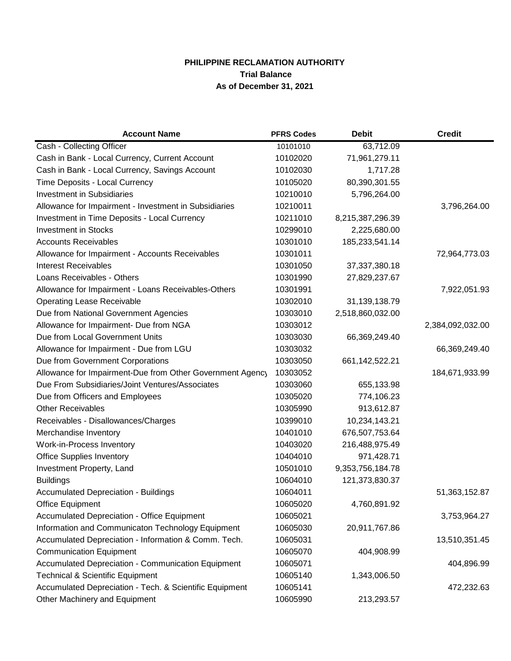## **PHILIPPINE RECLAMATION AUTHORITY Trial Balance As of December 31, 2021**

| <b>Account Name</b>                                       | <b>PFRS Codes</b> | <b>Debit</b>      | <b>Credit</b>    |
|-----------------------------------------------------------|-------------------|-------------------|------------------|
| Cash - Collecting Officer                                 | 10101010          | 63,712.09         |                  |
| Cash in Bank - Local Currency, Current Account            | 10102020          | 71,961,279.11     |                  |
| Cash in Bank - Local Currency, Savings Account            | 10102030          | 1,717.28          |                  |
| Time Deposits - Local Currency                            | 10105020          | 80,390,301.55     |                  |
| <b>Investment in Subsidiaries</b>                         | 10210010          | 5,796,264.00      |                  |
| Allowance for Impairment - Investment in Subsidiaries     | 10210011          |                   | 3,796,264.00     |
| <b>Investment in Time Deposits - Local Currency</b>       | 10211010          | 8,215,387,296.39  |                  |
| <b>Investment in Stocks</b>                               | 10299010          | 2,225,680.00      |                  |
| <b>Accounts Receivables</b>                               | 10301010          | 185,233,541.14    |                  |
| Allowance for Impairment - Accounts Receivables           | 10301011          |                   | 72,964,773.03    |
| <b>Interest Receivables</b>                               | 10301050          | 37, 37, 380. 18   |                  |
| Loans Receivables - Others                                | 10301990          | 27,829,237.67     |                  |
| Allowance for Impairment - Loans Receivables-Others       | 10301991          |                   | 7,922,051.93     |
| <b>Operating Lease Receivable</b>                         | 10302010          | 31,139,138.79     |                  |
| Due from National Government Agencies                     | 10303010          | 2,518,860,032.00  |                  |
| Allowance for Impairment- Due from NGA                    | 10303012          |                   | 2,384,092,032.00 |
| Due from Local Government Units                           | 10303030          | 66,369,249.40     |                  |
| Allowance for Impairment - Due from LGU                   | 10303032          |                   | 66,369,249.40    |
| Due from Government Corporations                          | 10303050          | 661, 142, 522. 21 |                  |
| Allowance for Impairment-Due from Other Government Agency | 10303052          |                   | 184,671,933.99   |
| Due From Subsidiaries/Joint Ventures/Associates           | 10303060          | 655,133.98        |                  |
| Due from Officers and Employees                           | 10305020          | 774,106.23        |                  |
| <b>Other Receivables</b>                                  | 10305990          | 913,612.87        |                  |
| Receivables - Disallowances/Charges                       | 10399010          | 10,234,143.21     |                  |
| Merchandise Inventory                                     | 10401010          | 676,507,753.64    |                  |
| Work-in-Process Inventory                                 | 10403020          | 216,488,975.49    |                  |
| <b>Office Supplies Inventory</b>                          | 10404010          | 971,428.71        |                  |
| Investment Property, Land                                 | 10501010          | 9,353,756,184.78  |                  |
| <b>Buildings</b>                                          | 10604010          | 121,373,830.37    |                  |
| <b>Accumulated Depreciation - Buildings</b>               | 10604011          |                   | 51,363,152.87    |
| <b>Office Equipment</b>                                   | 10605020          | 4,760,891.92      |                  |
| Accumulated Depreciation - Office Equipment               | 10605021          |                   | 3,753,964.27     |
| Information and Communicaton Technology Equipment         | 10605030          | 20,911,767.86     |                  |
| Accumulated Depreciation - Information & Comm. Tech.      | 10605031          |                   | 13,510,351.45    |
| <b>Communication Equipment</b>                            | 10605070          | 404,908.99        |                  |
| Accumulated Depreciation - Communication Equipment        | 10605071          |                   | 404,896.99       |
| <b>Technical &amp; Scientific Equipment</b>               | 10605140          | 1,343,006.50      |                  |
| Accumulated Depreciation - Tech. & Scientific Equipment   | 10605141          |                   | 472,232.63       |
| Other Machinery and Equipment                             | 10605990          | 213,293.57        |                  |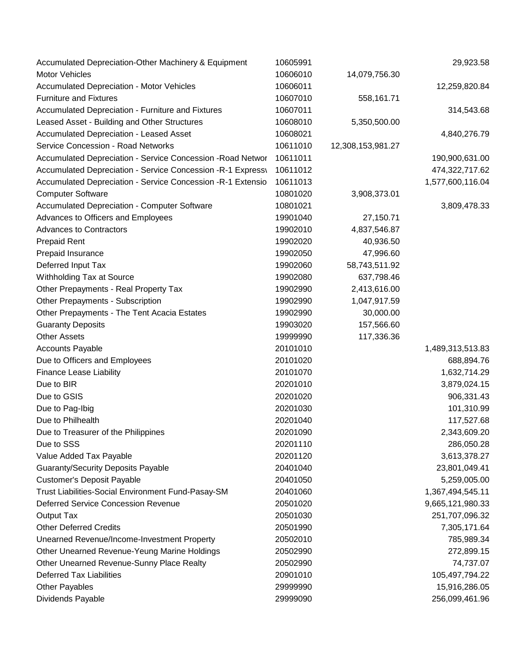| Accumulated Depreciation-Other Machinery & Equipment         | 10605991 |                   | 29,923.58        |
|--------------------------------------------------------------|----------|-------------------|------------------|
| <b>Motor Vehicles</b>                                        | 10606010 | 14,079,756.30     |                  |
| <b>Accumulated Depreciation - Motor Vehicles</b>             | 10606011 |                   | 12,259,820.84    |
| <b>Furniture and Fixtures</b>                                | 10607010 | 558,161.71        |                  |
| Accumulated Depreciation - Furniture and Fixtures            | 10607011 |                   | 314,543.68       |
| Leased Asset - Building and Other Structures                 | 10608010 | 5,350,500.00      |                  |
| Accumulated Depreciation - Leased Asset                      | 10608021 |                   | 4,840,276.79     |
| Service Concession - Road Networks                           | 10611010 | 12,308,153,981.27 |                  |
| Accumulated Depreciation - Service Concession - Road Networ  | 10611011 |                   | 190,900,631.00   |
| Accumulated Depreciation - Service Concession - R-1 Express\ | 10611012 |                   | 474,322,717.62   |
| Accumulated Depreciation - Service Concession - R-1 Extensio | 10611013 |                   | 1,577,600,116.04 |
| <b>Computer Software</b>                                     | 10801020 | 3,908,373.01      |                  |
| Accumulated Depreciation - Computer Software                 | 10801021 |                   | 3,809,478.33     |
| Advances to Officers and Employees                           | 19901040 | 27,150.71         |                  |
| <b>Advances to Contractors</b>                               | 19902010 | 4,837,546.87      |                  |
| <b>Prepaid Rent</b>                                          | 19902020 | 40,936.50         |                  |
| Prepaid Insurance                                            | 19902050 | 47,996.60         |                  |
| Deferred Input Tax                                           | 19902060 | 58,743,511.92     |                  |
| Withholding Tax at Source                                    | 19902080 | 637,798.46        |                  |
| Other Prepayments - Real Property Tax                        | 19902990 | 2,413,616.00      |                  |
| Other Prepayments - Subscription                             | 19902990 | 1,047,917.59      |                  |
| Other Prepayments - The Tent Acacia Estates                  | 19902990 | 30,000.00         |                  |
| <b>Guaranty Deposits</b>                                     | 19903020 | 157,566.60        |                  |
| <b>Other Assets</b>                                          | 19999990 | 117,336.36        |                  |
| <b>Accounts Payable</b>                                      | 20101010 |                   | 1,489,313,513.83 |
| Due to Officers and Employees                                | 20101020 |                   | 688,894.76       |
| <b>Finance Lease Liability</b>                               | 20101070 |                   | 1,632,714.29     |
| Due to BIR                                                   | 20201010 |                   | 3,879,024.15     |
| Due to GSIS                                                  | 20201020 |                   | 906,331.43       |
| Due to Pag-Ibig                                              | 20201030 |                   | 101,310.99       |
| Due to Philhealth                                            | 20201040 |                   | 117,527.68       |
| Due to Treasurer of the Philippines                          | 20201090 |                   | 2,343,609.20     |
| Due to SSS                                                   | 20201110 |                   | 286,050.28       |
| Value Added Tax Payable                                      | 20201120 |                   | 3,613,378.27     |
| <b>Guaranty/Security Deposits Payable</b>                    | 20401040 |                   | 23,801,049.41    |
| <b>Customer's Deposit Payable</b>                            | 20401050 |                   | 5,259,005.00     |
| Trust Liabilities-Social Environment Fund-Pasay-SM           | 20401060 |                   | 1,367,494,545.11 |
| Deferred Service Concession Revenue                          | 20501020 |                   | 9,665,121,980.33 |
| <b>Output Tax</b>                                            | 20501030 |                   | 251,707,096.32   |
| <b>Other Deferred Credits</b>                                | 20501990 |                   | 7,305,171.64     |
| Unearned Revenue/Income-Investment Property                  | 20502010 |                   | 785,989.34       |
| Other Unearned Revenue-Yeung Marine Holdings                 | 20502990 |                   | 272,899.15       |
| Other Unearned Revenue-Sunny Place Realty                    | 20502990 |                   | 74,737.07        |
| <b>Deferred Tax Liabilities</b>                              | 20901010 |                   | 105,497,794.22   |
| <b>Other Payables</b>                                        | 29999990 |                   | 15,916,286.05    |
| Dividends Payable                                            | 29999090 |                   | 256,099,461.96   |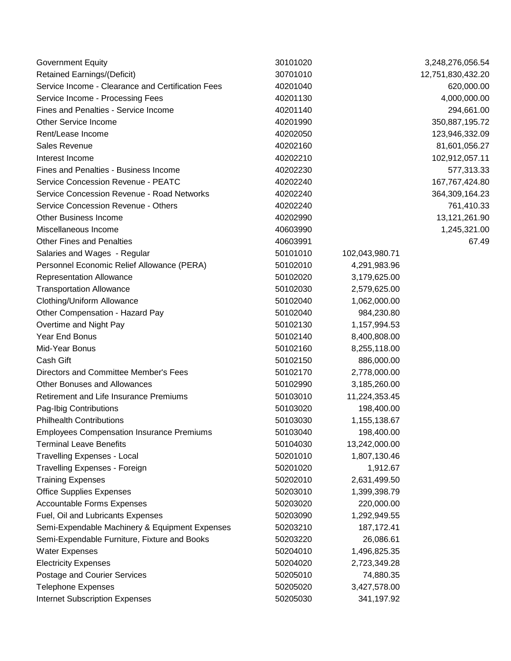| <b>Government Equity</b>                          | 30101020 |                | 3,248,276,056.54  |
|---------------------------------------------------|----------|----------------|-------------------|
| <b>Retained Earnings/(Deficit)</b>                | 30701010 |                | 12,751,830,432.20 |
| Service Income - Clearance and Certification Fees | 40201040 |                | 620,000.00        |
| Service Income - Processing Fees                  | 40201130 |                | 4,000,000.00      |
| Fines and Penalties - Service Income              | 40201140 |                | 294,661.00        |
| <b>Other Service Income</b>                       | 40201990 |                | 350,887,195.72    |
| Rent/Lease Income                                 | 40202050 |                | 123,946,332.09    |
| Sales Revenue                                     | 40202160 |                | 81,601,056.27     |
| Interest Income                                   | 40202210 |                | 102,912,057.11    |
| Fines and Penalties - Business Income             | 40202230 |                | 577,313.33        |
| <b>Service Concession Revenue - PEATC</b>         | 40202240 |                | 167,767,424.80    |
| Service Concession Revenue - Road Networks        | 40202240 |                | 364,309,164.23    |
| Service Concession Revenue - Others               | 40202240 |                | 761,410.33        |
| <b>Other Business Income</b>                      | 40202990 |                | 13,121,261.90     |
| Miscellaneous Income                              | 40603990 |                | 1,245,321.00      |
| <b>Other Fines and Penalties</b>                  | 40603991 |                | 67.49             |
| Salaries and Wages - Regular                      | 50101010 | 102,043,980.71 |                   |
| Personnel Economic Relief Allowance (PERA)        | 50102010 | 4,291,983.96   |                   |
| Representation Allowance                          | 50102020 | 3,179,625.00   |                   |
| <b>Transportation Allowance</b>                   | 50102030 | 2,579,625.00   |                   |
| Clothing/Uniform Allowance                        | 50102040 | 1,062,000.00   |                   |
| Other Compensation - Hazard Pay                   | 50102040 | 984,230.80     |                   |
| Overtime and Night Pay                            | 50102130 | 1,157,994.53   |                   |
| Year End Bonus                                    | 50102140 | 8,400,808.00   |                   |
| Mid-Year Bonus                                    | 50102160 | 8,255,118.00   |                   |
| Cash Gift                                         | 50102150 | 886,000.00     |                   |
| Directors and Committee Member's Fees             | 50102170 | 2,778,000.00   |                   |
| <b>Other Bonuses and Allowances</b>               | 50102990 | 3,185,260.00   |                   |
| Retirement and Life Insurance Premiums            | 50103010 | 11,224,353.45  |                   |
| Pag-Ibig Contributions                            | 50103020 | 198,400.00     |                   |
| <b>Philhealth Contributions</b>                   | 50103030 | 1,155,138.67   |                   |
| <b>Employees Compensation Insurance Premiums</b>  | 50103040 | 198,400.00     |                   |
| <b>Terminal Leave Benefits</b>                    | 50104030 | 13,242,000.00  |                   |
| <b>Travelling Expenses - Local</b>                | 50201010 | 1,807,130.46   |                   |
| <b>Travelling Expenses - Foreign</b>              | 50201020 | 1,912.67       |                   |
| <b>Training Expenses</b>                          | 50202010 | 2,631,499.50   |                   |
| <b>Office Supplies Expenses</b>                   | 50203010 | 1,399,398.79   |                   |
| <b>Accountable Forms Expenses</b>                 | 50203020 | 220,000.00     |                   |
| Fuel, Oil and Lubricants Expenses                 | 50203090 | 1,292,949.55   |                   |
| Semi-Expendable Machinery & Equipment Expenses    | 50203210 | 187, 172. 41   |                   |
| Semi-Expendable Furniture, Fixture and Books      | 50203220 | 26,086.61      |                   |
| <b>Water Expenses</b>                             | 50204010 | 1,496,825.35   |                   |
| <b>Electricity Expenses</b>                       | 50204020 | 2,723,349.28   |                   |
| Postage and Courier Services                      | 50205010 | 74,880.35      |                   |
| <b>Telephone Expenses</b>                         | 50205020 | 3,427,578.00   |                   |
| <b>Internet Subscription Expenses</b>             | 50205030 | 341,197.92     |                   |